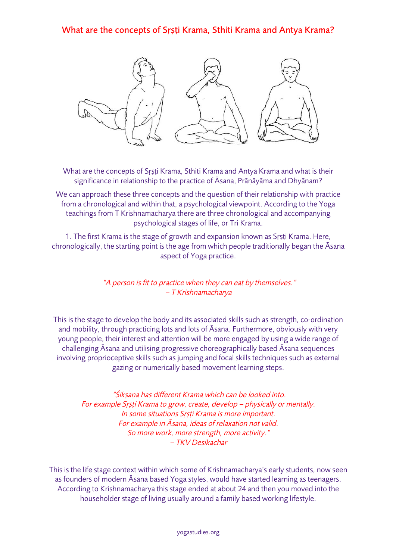## What are the concepts of Sṛṣṭi Krama, Sthiti Krama and Antya Krama?



What are the concepts of Srsti Krama, Sthiti Krama and Antya Krama and what is their significance in relationship to the practice of Āsana, Prāṇāyāma and Dhyānam?

We can approach these three concepts and the question of their relationship with practice from a chronological and within that, a psychological viewpoint. According to the Yoga teachings from T Krishnamacharya there are three chronological and accompanying psychological stages of life, or Tri Krama.

1. The first Krama is the stage of growth and expansion known as Srsti Krama. Here, chronologically, the starting point is the age from which people traditionally began the Āsana aspect of Yoga practice.

> "A person is fit to practice when they can eat by themselves." – T Krishnamacharya

This is the stage to develop the body and its associated skills such as strength, co-ordination and mobility, through practicing lots and lots of Āsana. Furthermore, obviously with very young people, their interest and attention will be more engaged by using a wide range of challenging Āsana and utilising progressive choreographically based Āsana sequences involving proprioceptive skills such as jumping and focal skills techniques such as external gazing or numerically based movement learning steps.

"Śiksana has different Krama which can be looked into. For example Srsti Krama to grow, create, develop – physically or mentally. In some situations Srsti Krama is more important. For example in Āsana, ideas of relaxation not valid. So more work, more strength, more activity." – TKV Desikachar

This is the life stage context within which some of Krishnamacharya's early students, now seen as founders of modern Āsana based Yoga styles, would have started learning as teenagers. According to Krishnamacharya this stage ended at about 24 and then you moved into the householder stage of living usually around a family based working lifestyle.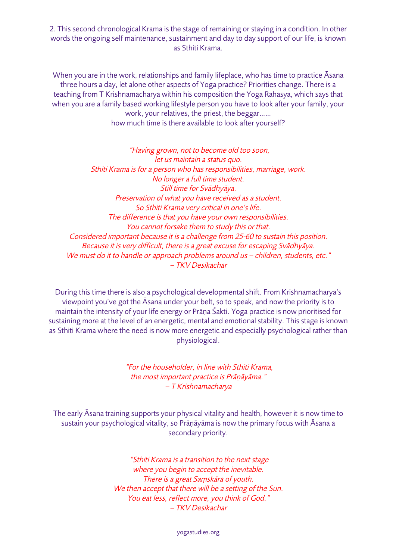2. This second chronological Krama is the stage of remaining or staying in a condition. In other words the ongoing self maintenance, sustainment and day to day support of our life, is known as Sthiti Krama.

When you are in the work, relationships and family lifeplace, who has time to practice Āsana three hours a day, let alone other aspects of Yoga practice? Priorities change. There is a teaching from T Krishnamacharya within his composition the Yoga Rahasya, which says that when you are a family based working lifestyle person you have to look after your family, your work, your relatives, the priest, the beggar…… how much time is there available to look after yourself?

"Having grown, not to become old too soon, let us maintain a status quo. Sthiti Krama is for a person who has responsibilities, marriage, work. No longer a full time student. Still time for Svādhy<sup>ā</sup>ya. Preservation of what you have received as a student. So Sthiti Krama very critical in one's life. The difference is that you have your own responsibilities. You cannot forsake them to study this or that. Considered important because it is a challenge from 25-60 to sustain this position. Because it is very difficult, there is a great excuse for escaping Svādhy<sup>ā</sup>ya. We must do it to handle or approach problems around us - children, students, etc." – TKV Desikachar

During this time there is also a psychological developmental shift. From Krishnamacharya's viewpoint you've got the Āsana under your belt, so to speak, and now the priority is to maintain the intensity of your life energy or Prāṇa Śakti. Yoga practice is now prioritised for sustaining more at the level of an energetic, mental and emotional stability. This stage is known as Sthiti Krama where the need is now more energetic and especially psychological rather than physiological.

> "For the householder, in line with Sthiti Krama, the most important practice is Prāṇāyāma." – T Krishnamacharya

The early Āsana training supports your physical vitality and health, however it is now time to sustain your psychological vitality, so Prāṇāyāma is now the primary focus with Āsana a secondary priority.

> "Sthiti Krama is a transition to the next stage where you begin to accept the inevitable. There is a great Saṃskāra of youth. We then accept that there will be a setting of the Sun. You eat less, reflect more, you think of God." – TKV Desikachar